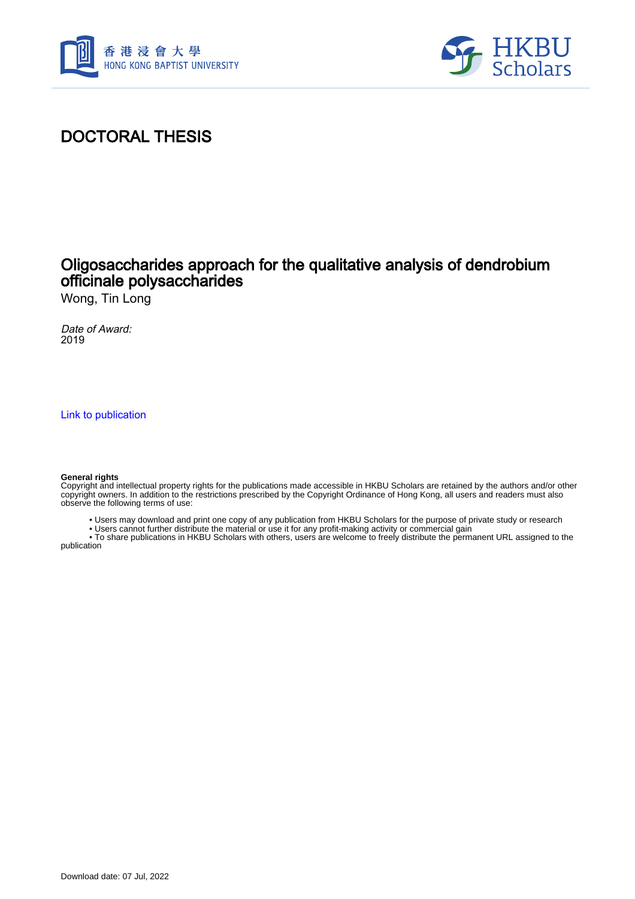



# DOCTORAL THESIS

## Oligosaccharides approach for the qualitative analysis of dendrobium officinale polysaccharides

Wong, Tin Long

Date of Award: 2019

[Link to publication](https://scholars.hkbu.edu.hk/en/studentTheses/61cb1d0b-7cff-4988-b38c-894291a6a210)

#### **General rights**

Copyright and intellectual property rights for the publications made accessible in HKBU Scholars are retained by the authors and/or other copyright owners. In addition to the restrictions prescribed by the Copyright Ordinance of Hong Kong, all users and readers must also observe the following terms of use:

- Users may download and print one copy of any publication from HKBU Scholars for the purpose of private study or research
- Users cannot further distribute the material or use it for any profit-making activity or commercial gain

 • To share publications in HKBU Scholars with others, users are welcome to freely distribute the permanent URL assigned to the publication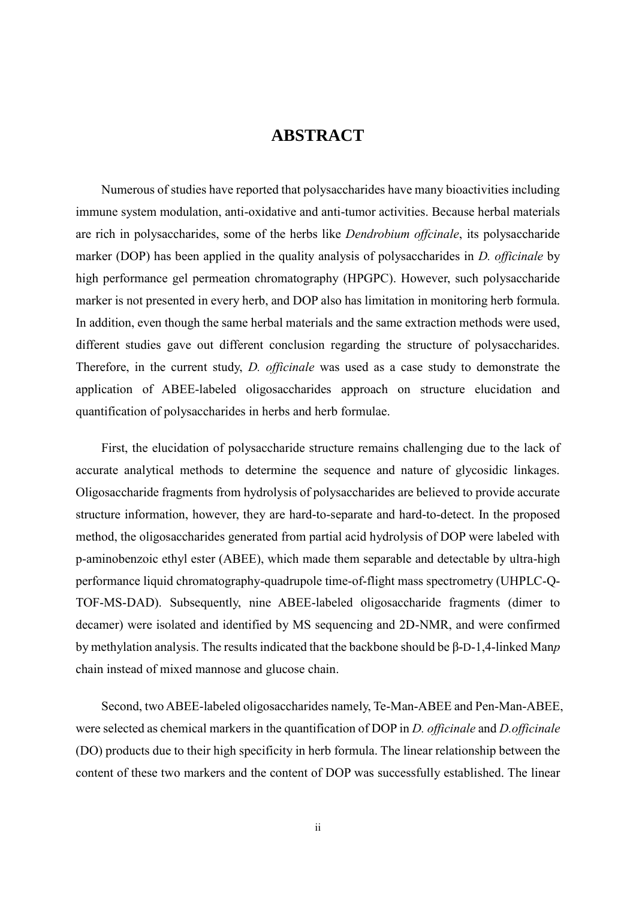### **ABSTRACT**

<span id="page-1-0"></span>Numerous of studies have reported that polysaccharides have many bioactivities including immune system modulation, anti-oxidative and anti-tumor activities. Because herbal materials are rich in polysaccharides, some of the herbs like *Dendrobium offcinale*, its polysaccharide marker (DOP) has been applied in the quality analysis of polysaccharides in *D. officinale* by high performance gel permeation chromatography (HPGPC). However, such polysaccharide marker is not presented in every herb, and DOP also has limitation in monitoring herb formula. In addition, even though the same herbal materials and the same extraction methods were used, different studies gave out different conclusion regarding the structure of polysaccharides. Therefore, in the current study, *D. officinale* was used as a case study to demonstrate the application of ABEE-labeled oligosaccharides approach on structure elucidation and quantification of polysaccharides in herbs and herb formulae.

First, the elucidation of polysaccharide structure remains challenging due to the lack of accurate analytical methods to determine the sequence and nature of glycosidic linkages. Oligosaccharide fragments from hydrolysis of polysaccharides are believed to provide accurate structure information, however, they are hard-to-separate and hard-to-detect. In the proposed method, the oligosaccharides generated from partial acid hydrolysis of DOP were labeled with p-aminobenzoic ethyl ester (ABEE), which made them separable and detectable by ultra-high performance liquid chromatography-quadrupole time-of-flight mass spectrometry (UHPLC-Q-TOF-MS-DAD). Subsequently, nine ABEE-labeled oligosaccharide fragments (dimer to decamer) were isolated and identified by MS sequencing and 2D-NMR, and were confirmed by methylation analysis. The results indicated that the backbone should be β-D-1,4-linked Man*p* chain instead of mixed mannose and glucose chain.

Second, two ABEE-labeled oligosaccharides namely, Te-Man-ABEE and Pen-Man-ABEE, were selected as chemical markers in the quantification of DOP in *D. officinale* and *D.officinale* (DO) products due to their high specificity in herb formula. The linear relationship between the content of these two markers and the content of DOP was successfully established. The linear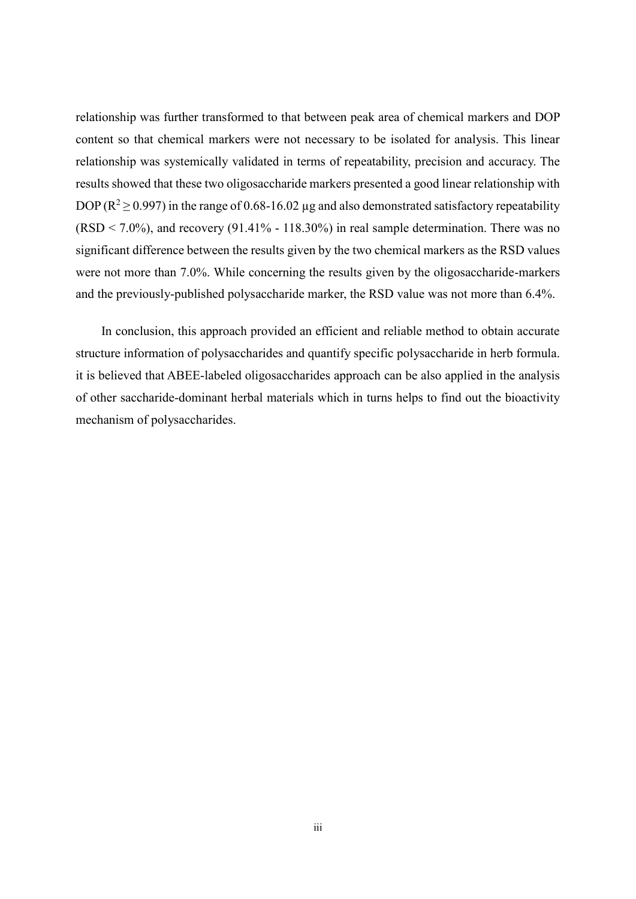relationship was further transformed to that between peak area of chemical markers and DOP content so that chemical markers were not necessary to be isolated for analysis. This linear relationship was systemically validated in terms of repeatability, precision and accuracy. The results showed that these two oligosaccharide markers presented a good linear relationship with DOP ( $R^2 \ge 0.997$ ) in the range of 0.68-16.02 µg and also demonstrated satisfactory repeatability  $(RSD < 7.0\%)$ , and recovery (91.41% - 118.30%) in real sample determination. There was no significant difference between the results given by the two chemical markers as the RSD values were not more than 7.0%. While concerning the results given by the oligosaccharide-markers and the previously-published polysaccharide marker, the RSD value was not more than 6.4%.

In conclusion, this approach provided an efficient and reliable method to obtain accurate structure information of polysaccharides and quantify specific polysaccharide in herb formula. it is believed that ABEE-labeled oligosaccharides approach can be also applied in the analysis of other saccharide-dominant herbal materials which in turns helps to find out the bioactivity mechanism of polysaccharides.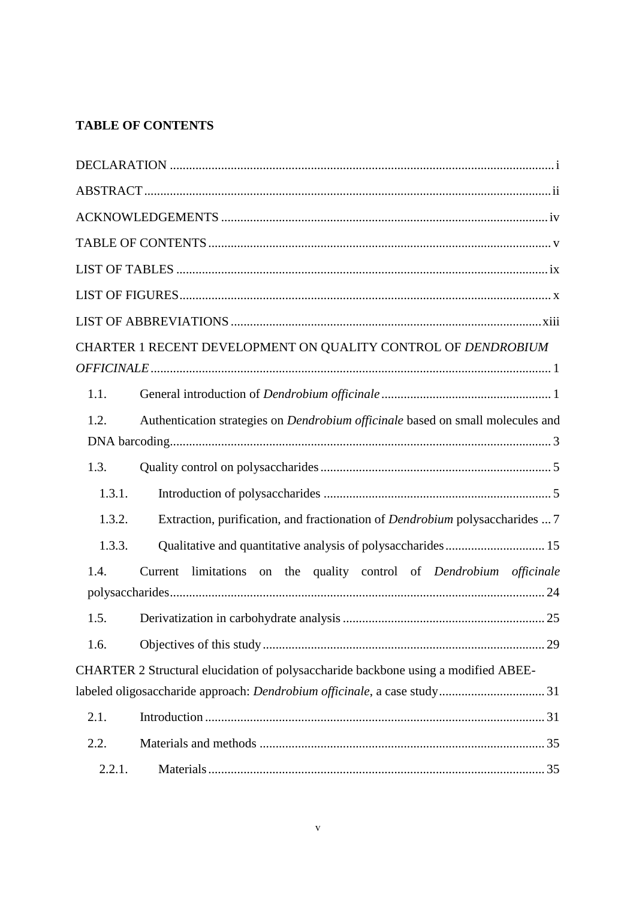### <span id="page-3-0"></span>**TABLE OF CONTENTS**

|        | CHARTER 1 RECENT DEVELOPMENT ON QUALITY CONTROL OF DENDROBIUM                          |  |
|--------|----------------------------------------------------------------------------------------|--|
|        |                                                                                        |  |
| 1.1.   |                                                                                        |  |
| 1.2.   | Authentication strategies on <i>Dendrobium officinale</i> based on small molecules and |  |
|        |                                                                                        |  |
| 1.3.   |                                                                                        |  |
| 1.3.1. |                                                                                        |  |
| 1.3.2. | Extraction, purification, and fractionation of <i>Dendrobium</i> polysaccharides  7    |  |
| 1.3.3. | Qualitative and quantitative analysis of polysaccharides 15                            |  |
| 1.4.   | Current limitations on the quality control of Dendrobium officinale                    |  |
| 1.5.   |                                                                                        |  |
| 1.6.   |                                                                                        |  |
|        | CHARTER 2 Structural elucidation of polysaccharide backbone using a modified ABEE-     |  |
|        | labeled oligosaccharide approach: Dendrobium officinale, a case study31                |  |
| 2.1.   |                                                                                        |  |
| 2.2.   |                                                                                        |  |
| 2.2.1. |                                                                                        |  |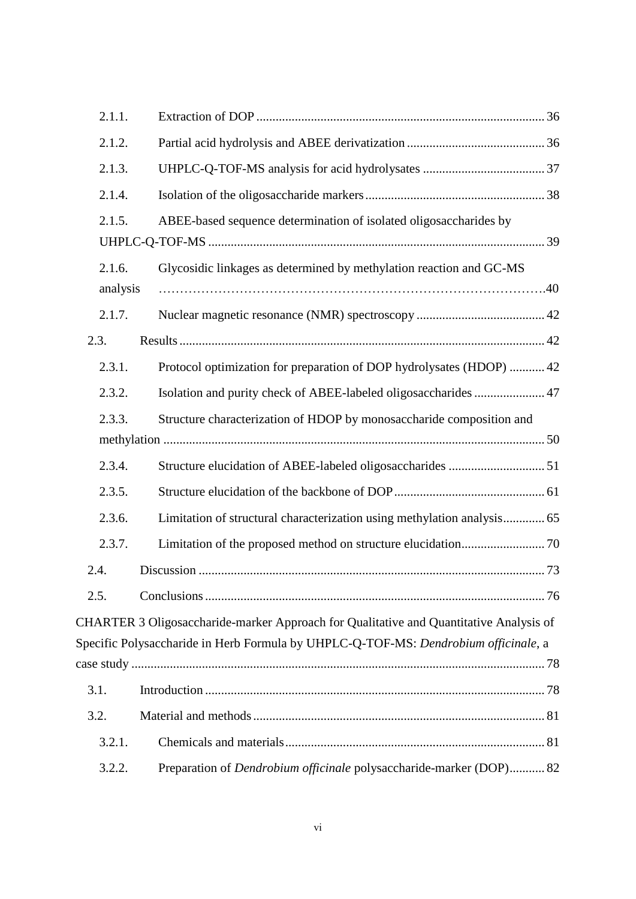| 2.1.1.             |                                                                                                                                                                               |  |
|--------------------|-------------------------------------------------------------------------------------------------------------------------------------------------------------------------------|--|
| 2.1.2.             |                                                                                                                                                                               |  |
| 2.1.3.             |                                                                                                                                                                               |  |
| 2.1.4.             |                                                                                                                                                                               |  |
| 2.1.5.             | ABEE-based sequence determination of isolated oligosaccharides by                                                                                                             |  |
| 2.1.6.<br>analysis | Glycosidic linkages as determined by methylation reaction and GC-MS                                                                                                           |  |
| 2.1.7.             |                                                                                                                                                                               |  |
| 2.3.               |                                                                                                                                                                               |  |
| 2.3.1.             | Protocol optimization for preparation of DOP hydrolysates (HDOP)  42                                                                                                          |  |
| 2.3.2.             | Isolation and purity check of ABEE-labeled oligosaccharides  47                                                                                                               |  |
| 2.3.3.             | Structure characterization of HDOP by monosaccharide composition and                                                                                                          |  |
| 2.3.4.             |                                                                                                                                                                               |  |
| 2.3.5.             |                                                                                                                                                                               |  |
| 2.3.6.             | Limitation of structural characterization using methylation analysis 65                                                                                                       |  |
| 2.3.7.             |                                                                                                                                                                               |  |
| 2.4.               |                                                                                                                                                                               |  |
| 2.5.               |                                                                                                                                                                               |  |
|                    | CHARTER 3 Oligosaccharide-marker Approach for Qualitative and Quantitative Analysis of<br>Specific Polysaccharide in Herb Formula by UHPLC-Q-TOF-MS: Dendrobium officinale, a |  |
|                    |                                                                                                                                                                               |  |
| 3.1.               |                                                                                                                                                                               |  |
| 3.2.               |                                                                                                                                                                               |  |
| 3.2.1.             |                                                                                                                                                                               |  |
| 3.2.2.             | Preparation of <i>Dendrobium officinale</i> polysaccharide-marker (DOP) 82                                                                                                    |  |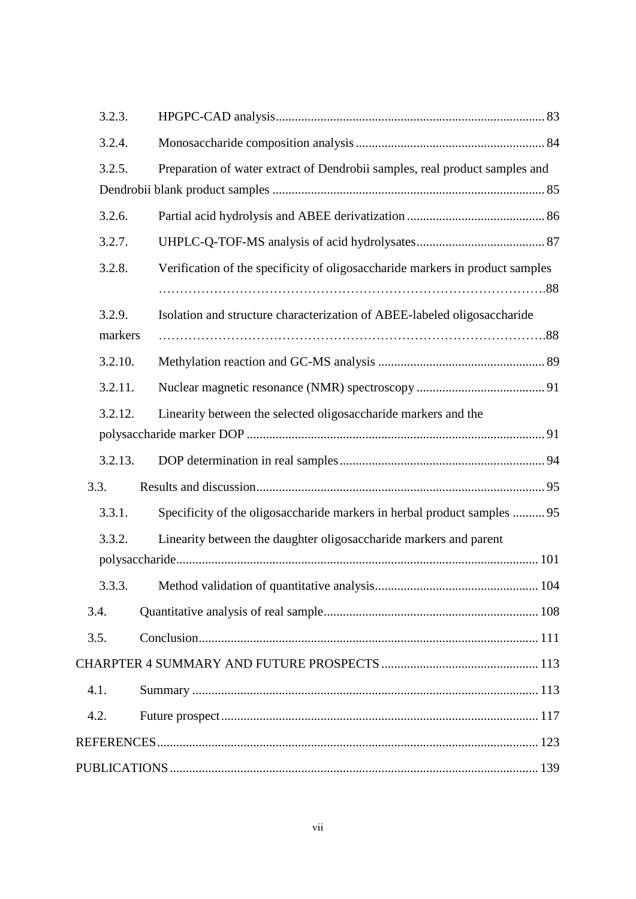| 3.2.3.  |                                                                               |
|---------|-------------------------------------------------------------------------------|
| 3.2.4.  |                                                                               |
| 3.2.5.  | Preparation of water extract of Dendrobii samples, real product samples and   |
|         |                                                                               |
| 3.2.6.  |                                                                               |
| 3.2.7.  |                                                                               |
| 3.2.8.  | Verification of the specificity of oligosaccharide markers in product samples |
|         |                                                                               |
| 3.2.9.  | Isolation and structure characterization of ABEE-labeled oligosaccharide      |
| markers |                                                                               |
| 3.2.10. |                                                                               |
| 3.2.11. |                                                                               |
| 3.2.12. | Linearity between the selected oligosaccharide markers and the                |
|         |                                                                               |
| 3.2.13. |                                                                               |
| 3.3.    |                                                                               |
| 3.3.1.  | Specificity of the oligosaccharide markers in herbal product samples  95      |
| 3.3.2.  | Linearity between the daughter oligosaccharide markers and parent             |
|         |                                                                               |
|         |                                                                               |
| 3.4.    |                                                                               |
| 3.5.    |                                                                               |
|         |                                                                               |
| 4.1.    |                                                                               |
| 4.2.    |                                                                               |
|         |                                                                               |
|         |                                                                               |